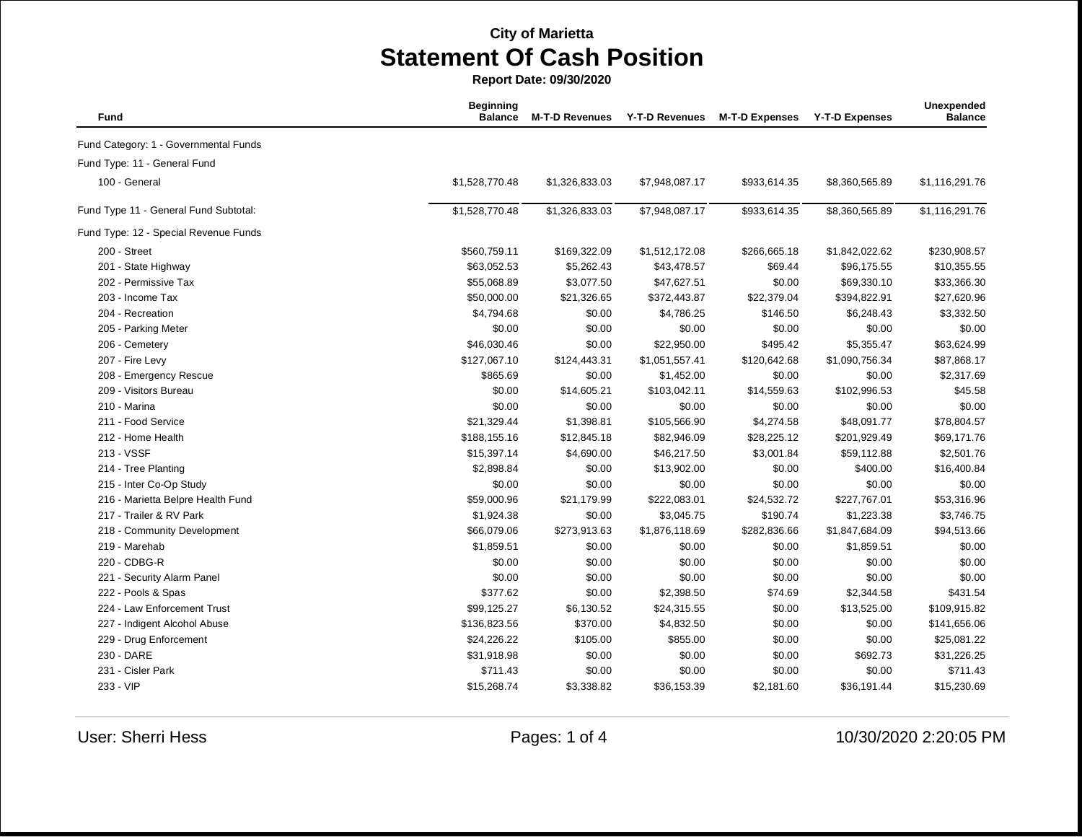**Report Date: 09/30/2020**

| <b>Fund</b>                           | <b>Beginning</b><br><b>Balance</b> | <b>M-T-D Revenues</b> | <b>Y-T-D Revenues</b> | <b>M-T-D Expenses</b> | <b>Y-T-D Expenses</b> | Unexpended<br><b>Balance</b> |
|---------------------------------------|------------------------------------|-----------------------|-----------------------|-----------------------|-----------------------|------------------------------|
| Fund Category: 1 - Governmental Funds |                                    |                       |                       |                       |                       |                              |
| Fund Type: 11 - General Fund          |                                    |                       |                       |                       |                       |                              |
| 100 - General                         | \$1,528,770.48                     | \$1,326,833.03        | \$7,948,087.17        | \$933,614.35          | \$8,360,565.89        | \$1,116,291.76               |
| Fund Type 11 - General Fund Subtotal: | \$1,528,770.48                     | \$1,326,833.03        | \$7,948,087.17        | \$933,614.35          | \$8,360,565.89        | \$1,116,291.76               |
| Fund Type: 12 - Special Revenue Funds |                                    |                       |                       |                       |                       |                              |
| 200 - Street                          | \$560,759.11                       | \$169,322.09          | \$1,512,172.08        | \$266,665.18          | \$1,842,022.62        | \$230,908.57                 |
| 201 - State Highway                   | \$63,052.53                        | \$5,262.43            | \$43,478.57           | \$69.44               | \$96,175.55           | \$10,355.55                  |
| 202 - Permissive Tax                  | \$55,068.89                        | \$3,077.50            | \$47,627.51           | \$0.00                | \$69,330.10           | \$33,366.30                  |
| 203 - Income Tax                      | \$50,000.00                        | \$21,326.65           | \$372,443.87          | \$22,379.04           | \$394,822.91          | \$27,620.96                  |
| 204 - Recreation                      | \$4,794.68                         | \$0.00                | \$4,786.25            | \$146.50              | \$6,248.43            | \$3,332.50                   |
| 205 - Parking Meter                   | \$0.00                             | \$0.00                | \$0.00                | \$0.00                | \$0.00                | \$0.00                       |
| 206 - Cemetery                        | \$46,030.46                        | \$0.00                | \$22,950.00           | \$495.42              | \$5,355.47            | \$63,624.99                  |
| 207 - Fire Levy                       | \$127,067.10                       | \$124,443.31          | \$1,051,557.41        | \$120,642.68          | \$1,090,756.34        | \$87,868.17                  |
| 208 - Emergency Rescue                | \$865.69                           | \$0.00                | \$1,452.00            | \$0.00                | \$0.00                | \$2,317.69                   |
| 209 - Visitors Bureau                 | \$0.00                             | \$14,605.21           | \$103,042.11          | \$14,559.63           | \$102,996.53          | \$45.58                      |
| 210 - Marina                          | \$0.00                             | \$0.00                | \$0.00                | \$0.00                | \$0.00                | \$0.00                       |
| 211 - Food Service                    | \$21,329.44                        | \$1,398.81            | \$105,566.90          | \$4,274.58            | \$48,091.77           | \$78,804.57                  |
| 212 - Home Health                     | \$188,155.16                       | \$12,845.18           | \$82,946.09           | \$28,225.12           | \$201,929.49          | \$69,171.76                  |
| 213 - VSSF                            | \$15,397.14                        | \$4,690.00            | \$46,217.50           | \$3,001.84            | \$59,112.88           | \$2,501.76                   |
| 214 - Tree Planting                   | \$2,898.84                         | \$0.00                | \$13,902.00           | \$0.00                | \$400.00              | \$16,400.84                  |
| 215 - Inter Co-Op Study               | \$0.00                             | \$0.00                | \$0.00                | \$0.00                | \$0.00                | \$0.00                       |
| 216 - Marietta Belpre Health Fund     | \$59,000.96                        | \$21,179.99           | \$222,083.01          | \$24,532.72           | \$227,767.01          | \$53,316.96                  |
| 217 - Trailer & RV Park               | \$1,924.38                         | \$0.00                | \$3,045.75            | \$190.74              | \$1,223.38            | \$3,746.75                   |
| 218 - Community Development           | \$66,079.06                        | \$273,913.63          | \$1,876,118.69        | \$282,836.66          | \$1,847,684.09        | \$94,513.66                  |
| 219 - Marehab                         | \$1,859.51                         | \$0.00                | \$0.00                | \$0.00                | \$1,859.51            | \$0.00                       |
| 220 - CDBG-R                          | \$0.00                             | \$0.00                | \$0.00                | \$0.00                | \$0.00                | \$0.00                       |
| 221 - Security Alarm Panel            | \$0.00                             | \$0.00                | \$0.00                | \$0.00                | \$0.00                | \$0.00                       |
| 222 - Pools & Spas                    | \$377.62                           | \$0.00                | \$2,398.50            | \$74.69               | \$2,344.58            | \$431.54                     |
| 224 - Law Enforcement Trust           | \$99,125.27                        | \$6,130.52            | \$24,315.55           | \$0.00                | \$13,525.00           | \$109,915.82                 |
| 227 - Indigent Alcohol Abuse          | \$136,823.56                       | \$370.00              | \$4,832.50            | \$0.00                | \$0.00                | \$141,656.06                 |
| 229 - Drug Enforcement                | \$24,226.22                        | \$105.00              | \$855.00              | \$0.00                | \$0.00                | \$25,081.22                  |
| 230 - DARE                            | \$31,918.98                        | \$0.00                | \$0.00                | \$0.00                | \$692.73              | \$31,226.25                  |
| 231 - Cisler Park                     | \$711.43                           | \$0.00                | \$0.00                | \$0.00                | \$0.00                | \$711.43                     |
| 233 - VIP                             | \$15,268.74                        | \$3,338.82            | \$36,153.39           | \$2,181.60            | \$36,191.44           | \$15,230.69                  |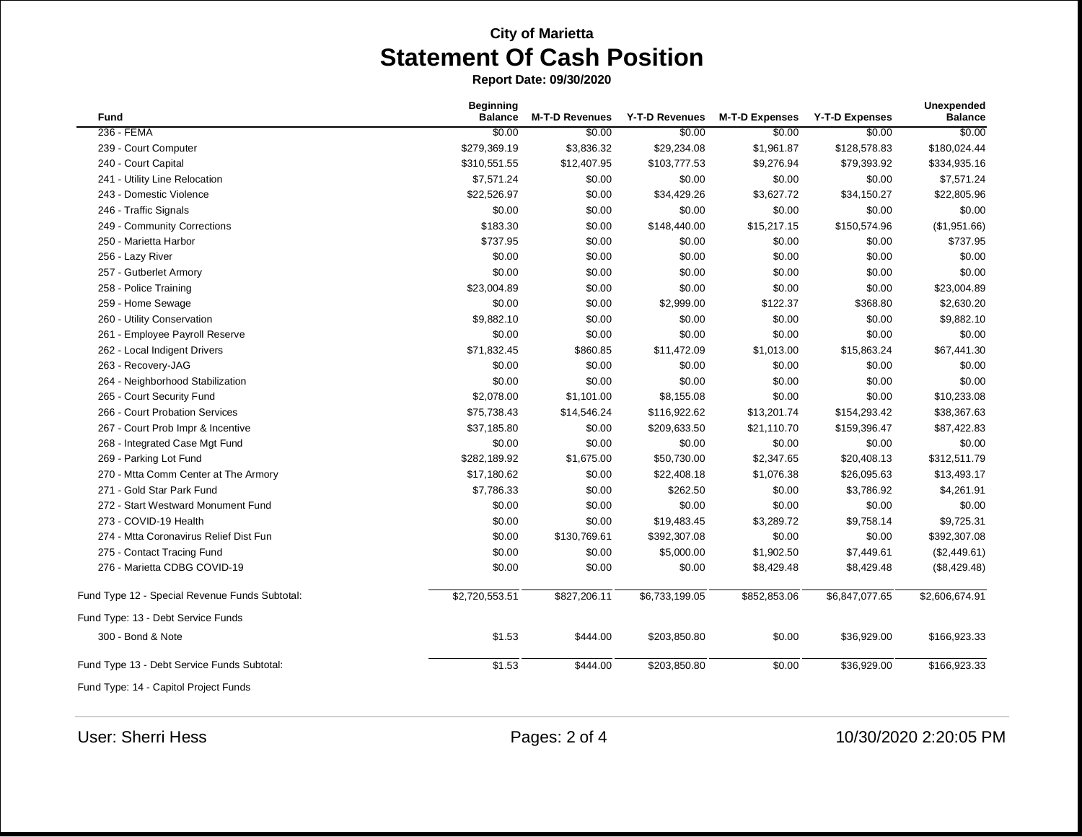**Report Date: 09/30/2020**

| <b>Fund</b>                                    | <b>Beginning</b><br><b>Balance</b> | <b>M-T-D Revenues</b> | <b>Y-T-D Revenues</b> | <b>M-T-D Expenses</b> | <b>Y-T-D Expenses</b> | <b>Unexpended</b><br><b>Balance</b> |
|------------------------------------------------|------------------------------------|-----------------------|-----------------------|-----------------------|-----------------------|-------------------------------------|
| 236 - FEMA                                     | \$0.00                             | \$0.00                | \$0.00                | \$0.00                | \$0.00                | \$0.00                              |
| 239 - Court Computer                           | \$279,369.19                       | \$3,836.32            | \$29,234.08           | \$1,961.87            | \$128,578.83          | \$180,024.44                        |
| 240 - Court Capital                            | \$310,551.55                       | \$12,407.95           | \$103,777.53          | \$9,276.94            | \$79,393.92           | \$334,935.16                        |
| 241 - Utility Line Relocation                  | \$7,571.24                         | \$0.00                | \$0.00                | \$0.00                | \$0.00                | \$7,571.24                          |
| 243 - Domestic Violence                        | \$22,526.97                        | \$0.00                | \$34,429.26           | \$3,627.72            | \$34,150.27           | \$22,805.96                         |
| 246 - Traffic Signals                          | \$0.00                             | \$0.00                | \$0.00                | \$0.00                | \$0.00                | \$0.00                              |
| 249 - Community Corrections                    | \$183.30                           | \$0.00                | \$148,440.00          | \$15,217.15           | \$150,574.96          | (\$1,951.66)                        |
| 250 - Marietta Harbor                          | \$737.95                           | \$0.00                | \$0.00                | \$0.00                | \$0.00                | \$737.95                            |
| 256 - Lazy River                               | \$0.00                             | \$0.00                | \$0.00                | \$0.00                | \$0.00                | \$0.00                              |
| 257 - Gutberlet Armory                         | \$0.00                             | \$0.00                | \$0.00                | \$0.00                | \$0.00                | \$0.00                              |
| 258 - Police Training                          | \$23,004.89                        | \$0.00                | \$0.00                | \$0.00                | \$0.00                | \$23,004.89                         |
| 259 - Home Sewage                              | \$0.00                             | \$0.00                | \$2,999.00            | \$122.37              | \$368.80              | \$2,630.20                          |
| 260 - Utility Conservation                     | \$9,882.10                         | \$0.00                | \$0.00                | \$0.00                | \$0.00                | \$9,882.10                          |
| 261 - Employee Payroll Reserve                 | \$0.00                             | \$0.00                | \$0.00                | \$0.00                | \$0.00                | \$0.00                              |
| 262 - Local Indigent Drivers                   | \$71,832.45                        | \$860.85              | \$11,472.09           | \$1,013.00            | \$15,863.24           | \$67,441.30                         |
| 263 - Recovery-JAG                             | \$0.00                             | \$0.00                | \$0.00                | \$0.00                | \$0.00                | \$0.00                              |
| 264 - Neighborhood Stabilization               | \$0.00                             | \$0.00                | \$0.00                | \$0.00                | \$0.00                | \$0.00                              |
| 265 - Court Security Fund                      | \$2,078.00                         | \$1,101.00            | \$8,155.08            | \$0.00                | \$0.00                | \$10,233.08                         |
| 266 - Court Probation Services                 | \$75,738.43                        | \$14,546.24           | \$116,922.62          | \$13,201.74           | \$154,293.42          | \$38,367.63                         |
| 267 - Court Prob Impr & Incentive              | \$37,185.80                        | \$0.00                | \$209,633.50          | \$21,110.70           | \$159,396.47          | \$87,422.83                         |
| 268 - Integrated Case Mgt Fund                 | \$0.00                             | \$0.00                | \$0.00                | \$0.00                | \$0.00                | \$0.00                              |
| 269 - Parking Lot Fund                         | \$282,189.92                       | \$1,675.00            | \$50,730.00           | \$2,347.65            | \$20,408.13           | \$312,511.79                        |
| 270 - Mtta Comm Center at The Armory           | \$17,180.62                        | \$0.00                | \$22,408.18           | \$1,076.38            | \$26,095.63           | \$13,493.17                         |
| 271 - Gold Star Park Fund                      | \$7,786.33                         | \$0.00                | \$262.50              | \$0.00                | \$3,786.92            | \$4,261.91                          |
| 272 - Start Westward Monument Fund             | \$0.00                             | \$0.00                | \$0.00                | \$0.00                | \$0.00                | \$0.00                              |
| 273 - COVID-19 Health                          | \$0.00                             | \$0.00                | \$19,483.45           | \$3,289.72            | \$9,758.14            | \$9,725.31                          |
| 274 - Mtta Coronavirus Relief Dist Fun         | \$0.00                             | \$130,769.61          | \$392,307.08          | \$0.00                | \$0.00                | \$392,307.08                        |
| 275 - Contact Tracing Fund                     | \$0.00                             | \$0.00                | \$5,000.00            | \$1,902.50            | \$7,449.61            | (\$2,449.61)                        |
| 276 - Marietta CDBG COVID-19                   | \$0.00                             | \$0.00                | \$0.00                | \$8,429.48            | \$8,429.48            | (\$8,429.48)                        |
| Fund Type 12 - Special Revenue Funds Subtotal: | \$2,720,553.51                     | \$827,206.11          | \$6,733,199.05        | \$852,853.06          | \$6,847,077.65        | \$2,606,674.91                      |
| Fund Type: 13 - Debt Service Funds             |                                    |                       |                       |                       |                       |                                     |
| 300 - Bond & Note                              | \$1.53                             | \$444.00              | \$203,850.80          | \$0.00                | \$36,929.00           | \$166,923.33                        |
| Fund Type 13 - Debt Service Funds Subtotal:    | \$1.53                             | \$444.00              | \$203,850.80          | \$0.00                | \$36,929.00           | \$166,923.33                        |
| Fund Type: 14 - Capitol Project Funds          |                                    |                       |                       |                       |                       |                                     |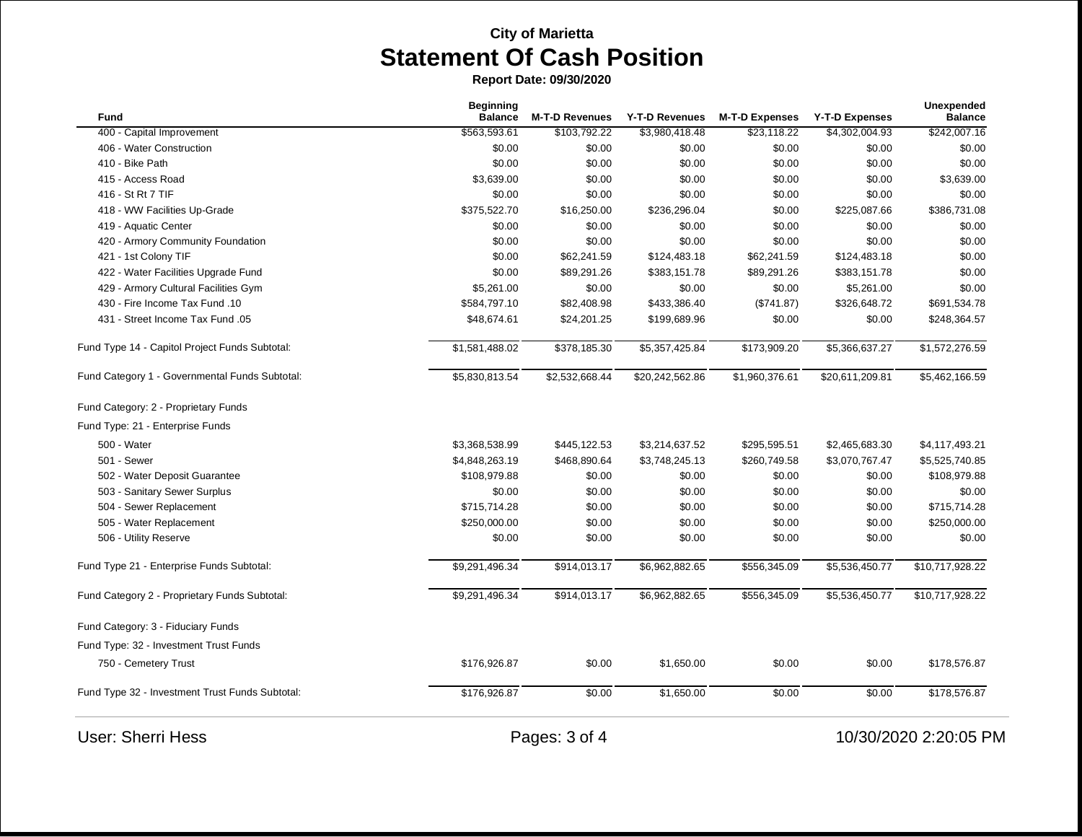**Report Date: 09/30/2020**

|                                                 | <b>Beginning</b> |                       |                 |                       |                       | Unexpended      |
|-------------------------------------------------|------------------|-----------------------|-----------------|-----------------------|-----------------------|-----------------|
| Fund                                            | <b>Balance</b>   | <b>M-T-D Revenues</b> | Y-T-D Revenues  | <b>M-T-D Expenses</b> | <b>Y-T-D Expenses</b> | <b>Balance</b>  |
| 400 - Capital Improvement                       | \$563,593.61     | \$103,792.22          | \$3,980,418.48  | \$23,118.22           | \$4,302,004.93        | \$242,007.16    |
| 406 - Water Construction                        | \$0.00           | \$0.00                | \$0.00          | \$0.00                | \$0.00                | \$0.00          |
| 410 - Bike Path                                 | \$0.00           | \$0.00                | \$0.00          | \$0.00                | \$0.00                | \$0.00          |
| 415 - Access Road                               | \$3,639.00       | \$0.00                | \$0.00          | \$0.00                | \$0.00                | \$3,639.00      |
| 416 - St Rt 7 TIF                               | \$0.00           | \$0.00                | \$0.00          | \$0.00                | \$0.00                | \$0.00          |
| 418 - WW Facilities Up-Grade                    | \$375,522.70     | \$16,250.00           | \$236,296.04    | \$0.00                | \$225,087.66          | \$386,731.08    |
| 419 - Aquatic Center                            | \$0.00           | \$0.00                | \$0.00          | \$0.00                | \$0.00                | \$0.00          |
| 420 - Armory Community Foundation               | \$0.00           | \$0.00                | \$0.00          | \$0.00                | \$0.00                | \$0.00          |
| 421 - 1st Colony TIF                            | \$0.00           | \$62,241.59           | \$124,483.18    | \$62,241.59           | \$124,483.18          | \$0.00          |
| 422 - Water Facilities Upgrade Fund             | \$0.00           | \$89,291.26           | \$383,151.78    | \$89,291.26           | \$383,151.78          | \$0.00          |
| 429 - Armory Cultural Facilities Gym            | \$5,261.00       | \$0.00                | \$0.00          | \$0.00                | \$5,261.00            | \$0.00          |
| 430 - Fire Income Tax Fund .10                  | \$584,797.10     | \$82,408.98           | \$433,386.40    | (\$741.87)            | \$326,648.72          | \$691,534.78    |
| 431 - Street Income Tax Fund .05                | \$48,674.61      | \$24,201.25           | \$199,689.96    | \$0.00                | \$0.00                | \$248,364.57    |
| Fund Type 14 - Capitol Project Funds Subtotal:  | \$1,581,488.02   | \$378,185.30          | \$5,357,425.84  | \$173,909.20          | \$5,366,637.27        | \$1,572,276.59  |
| Fund Category 1 - Governmental Funds Subtotal:  | \$5,830,813.54   | \$2,532,668.44        | \$20,242,562.86 | \$1,960,376.61        | \$20,611,209.81       | \$5,462,166.59  |
| Fund Category: 2 - Proprietary Funds            |                  |                       |                 |                       |                       |                 |
| Fund Type: 21 - Enterprise Funds                |                  |                       |                 |                       |                       |                 |
| 500 - Water                                     | \$3,368,538.99   | \$445,122.53          | \$3,214,637.52  | \$295,595.51          | \$2,465,683.30        | \$4,117,493.21  |
| 501 - Sewer                                     | \$4,848,263.19   | \$468,890.64          | \$3,748,245.13  | \$260,749.58          | \$3,070,767.47        | \$5,525,740.85  |
| 502 - Water Deposit Guarantee                   | \$108,979.88     | \$0.00                | \$0.00          | \$0.00                | \$0.00                | \$108,979.88    |
| 503 - Sanitary Sewer Surplus                    | \$0.00           | \$0.00                | \$0.00          | \$0.00                | \$0.00                | \$0.00          |
| 504 - Sewer Replacement                         | \$715,714.28     | \$0.00                | \$0.00          | \$0.00                | \$0.00                | \$715,714.28    |
| 505 - Water Replacement                         | \$250,000.00     | \$0.00                | \$0.00          | \$0.00                | \$0.00                | \$250,000.00    |
| 506 - Utility Reserve                           | \$0.00           | \$0.00                | \$0.00          | \$0.00                | \$0.00                | \$0.00          |
| Fund Type 21 - Enterprise Funds Subtotal:       | \$9,291,496.34   | \$914,013.17          | \$6,962,882.65  | \$556,345.09          | \$5,536,450.77        | \$10,717,928.22 |
| Fund Category 2 - Proprietary Funds Subtotal:   | \$9,291,496.34   | \$914,013.17          | \$6,962,882.65  | \$556,345.09          | \$5,536,450.77        | \$10,717,928.22 |
| Fund Category: 3 - Fiduciary Funds              |                  |                       |                 |                       |                       |                 |
| Fund Type: 32 - Investment Trust Funds          |                  |                       |                 |                       |                       |                 |
| 750 - Cemetery Trust                            | \$176,926.87     | \$0.00                | \$1,650.00      | \$0.00                | \$0.00                | \$178,576.87    |
| Fund Type 32 - Investment Trust Funds Subtotal: | \$176,926.87     | \$0.00                | \$1,650.00      | \$0.00                | \$0.00                | \$178,576.87    |

User: Sherri Hess **Pages: 3 of 4** 10/30/2020 2:20:05 PM